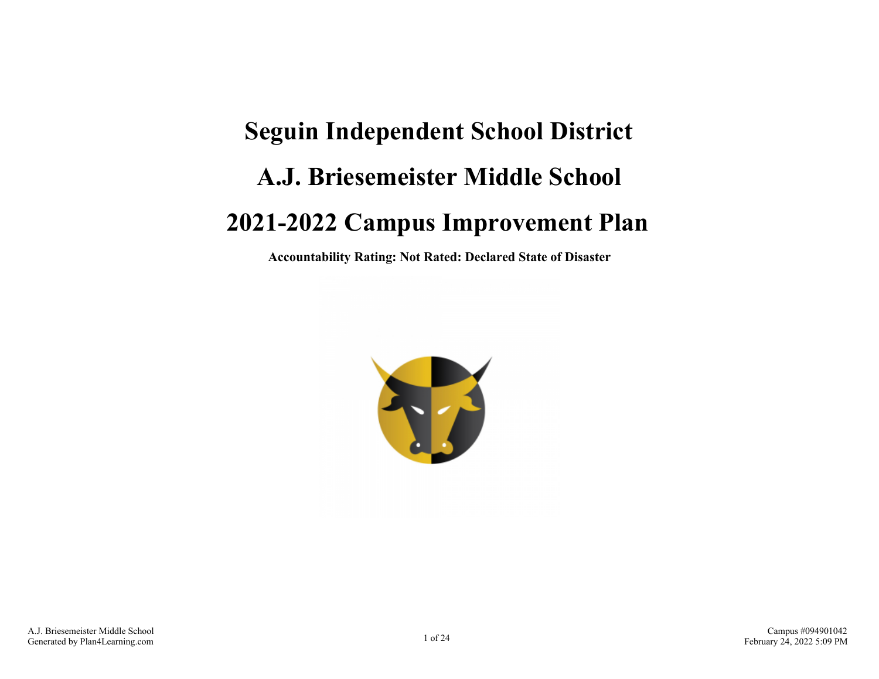# **Seguin Independent School District A.J. Briesemeister Middle School 2021-2022 Campus Improvement Plan**

**Accountability Rating: Not Rated: Declared State of Disaster**

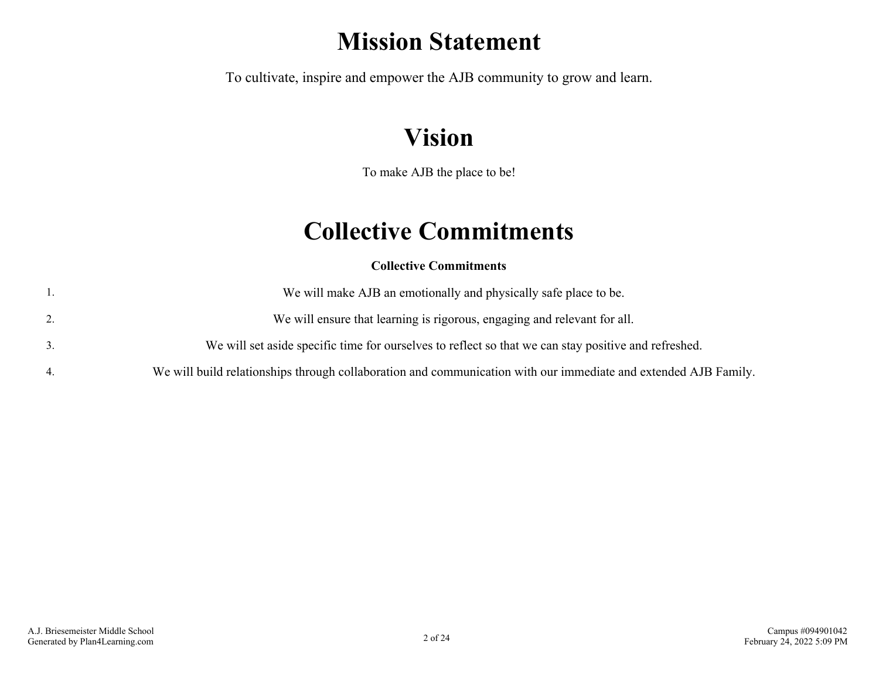### **Mission Statement**

To cultivate, inspire and empower the AJB community to grow and learn.

# **Vision**

To make AJB the place to be!

### **Collective Commitments**

**Collective Commitments**

|    | We will make AJB an emotionally and physically safe place to be.                                                |
|----|-----------------------------------------------------------------------------------------------------------------|
| 2. | We will ensure that learning is rigorous, engaging and relevant for all.                                        |
|    | We will set aside specific time for ourselves to reflect so that we can stay positive and refreshed.            |
|    | We will build relationships through collaboration and communication with our immediate and extended AJB Family. |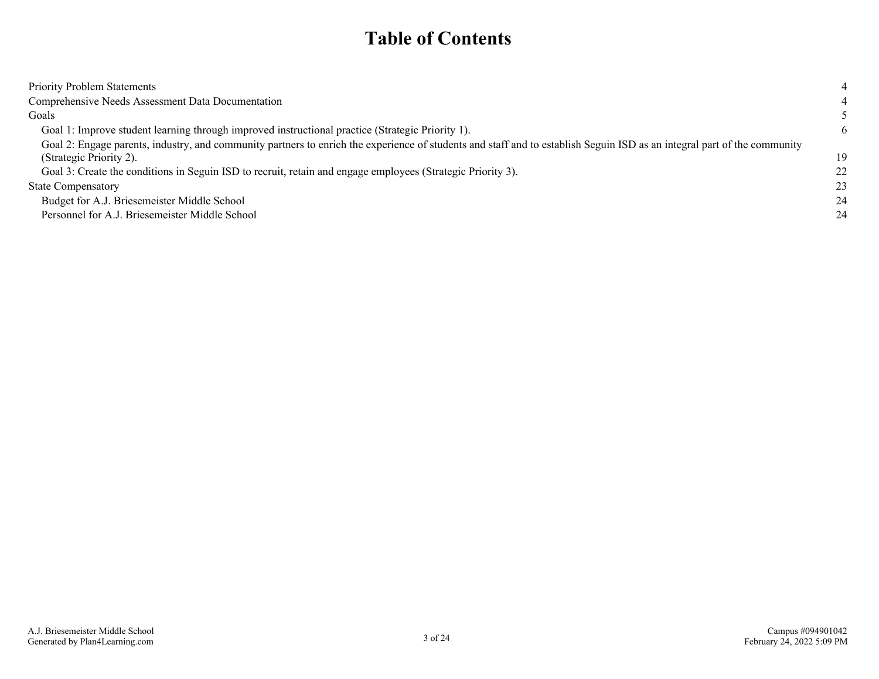### **Table of Contents**

| <b>Priority Problem Statements</b>                                                                                                                                                                                                                                                                                 |          |
|--------------------------------------------------------------------------------------------------------------------------------------------------------------------------------------------------------------------------------------------------------------------------------------------------------------------|----------|
| Comprehensive Needs Assessment Data Documentation                                                                                                                                                                                                                                                                  |          |
| Goals                                                                                                                                                                                                                                                                                                              |          |
| Goal 1: Improve student learning through improved instructional practice (Strategic Priority 1).                                                                                                                                                                                                                   | 6        |
| Goal 2: Engage parents, industry, and community partners to enrich the experience of students and staff and to establish Seguin ISD as an integral part of the community<br>(Strategic Priority 2).<br>Goal 3: Create the conditions in Seguin ISD to recruit, retain and engage employees (Strategic Priority 3). | 19<br>22 |
| <b>State Compensatory</b>                                                                                                                                                                                                                                                                                          | 23       |
| Budget for A.J. Briesemeister Middle School                                                                                                                                                                                                                                                                        | 24       |
| Personnel for A.J. Briesemeister Middle School                                                                                                                                                                                                                                                                     | 24       |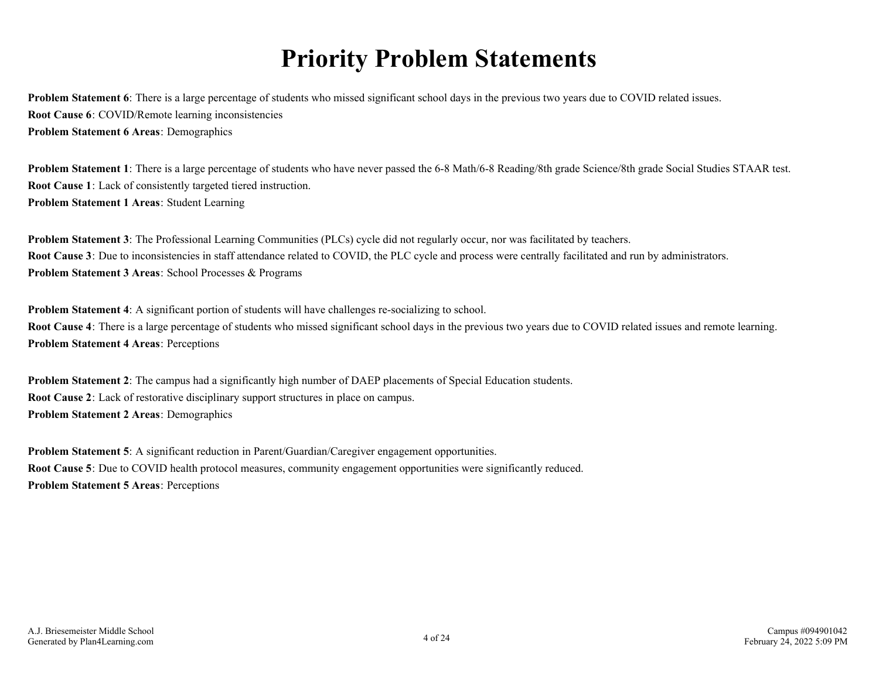## **Priority Problem Statements**

<span id="page-3-0"></span>**Problem Statement 6**: There is a large percentage of students who missed significant school days in the previous two years due to COVID related issues. **Root Cause 6**: COVID/Remote learning inconsistencies **Problem Statement 6 Areas**: Demographics

**Problem Statement 1**: There is a large percentage of students who have never passed the 6-8 Math/6-8 Reading/8th grade Science/8th grade Social Studies STAAR test. **Root Cause 1**: Lack of consistently targeted tiered instruction. **Problem Statement 1 Areas**: Student Learning

**Problem Statement 3**: The Professional Learning Communities (PLCs) cycle did not regularly occur, nor was facilitated by teachers. **Root Cause 3**: Due to inconsistencies in staff attendance related to COVID, the PLC cycle and process were centrally facilitated and run by administrators. **Problem Statement 3 Areas**: School Processes & Programs

**Problem Statement 4**: A significant portion of students will have challenges re-socializing to school. **Root Cause 4**: There is a large percentage of students who missed significant school days in the previous two years due to COVID related issues and remote learning. **Problem Statement 4 Areas**: Perceptions

**Problem Statement 2**: The campus had a significantly high number of DAEP placements of Special Education students. **Root Cause 2**: Lack of restorative disciplinary support structures in place on campus. **Problem Statement 2 Areas**: Demographics

**Problem Statement 5:** A significant reduction in Parent/Guardian/Caregiver engagement opportunities. **Root Cause 5**: Due to COVID health protocol measures, community engagement opportunities were significantly reduced. **Problem Statement 5 Areas**: Perceptions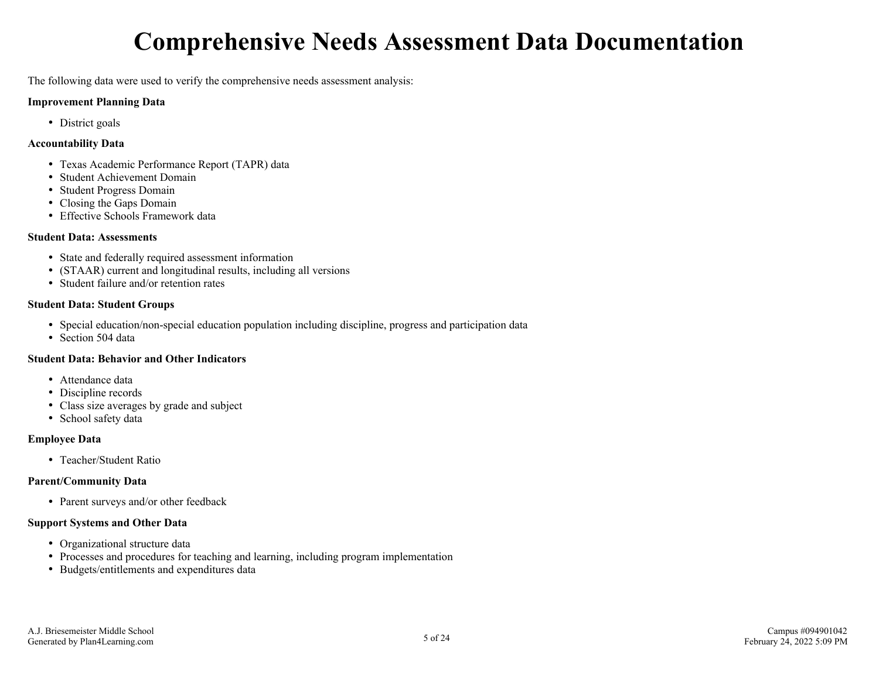# **Comprehensive Needs Assessment Data Documentation**

<span id="page-4-0"></span>The following data were used to verify the comprehensive needs assessment analysis:

#### **Improvement Planning Data**

• District goals

#### **Accountability Data**

- Texas Academic Performance Report (TAPR) data
- Student Achievement Domain
- Student Progress Domain
- Closing the Gaps Domain
- Effective Schools Framework data

#### **Student Data: Assessments**

- State and federally required assessment information
- (STAAR) current and longitudinal results, including all versions
- Student failure and/or retention rates

#### **Student Data: Student Groups**

- Special education/non-special education population including discipline, progress and participation data
- Section 504 data

#### **Student Data: Behavior and Other Indicators**

- Attendance data
- Discipline records
- Class size averages by grade and subject
- School safety data

#### **Employee Data**

• Teacher/Student Ratio

#### **Parent/Community Data**

• Parent surveys and/or other feedback

#### **Support Systems and Other Data**

- Organizational structure data
- Processes and procedures for teaching and learning, including program implementation
- Budgets/entitlements and expenditures data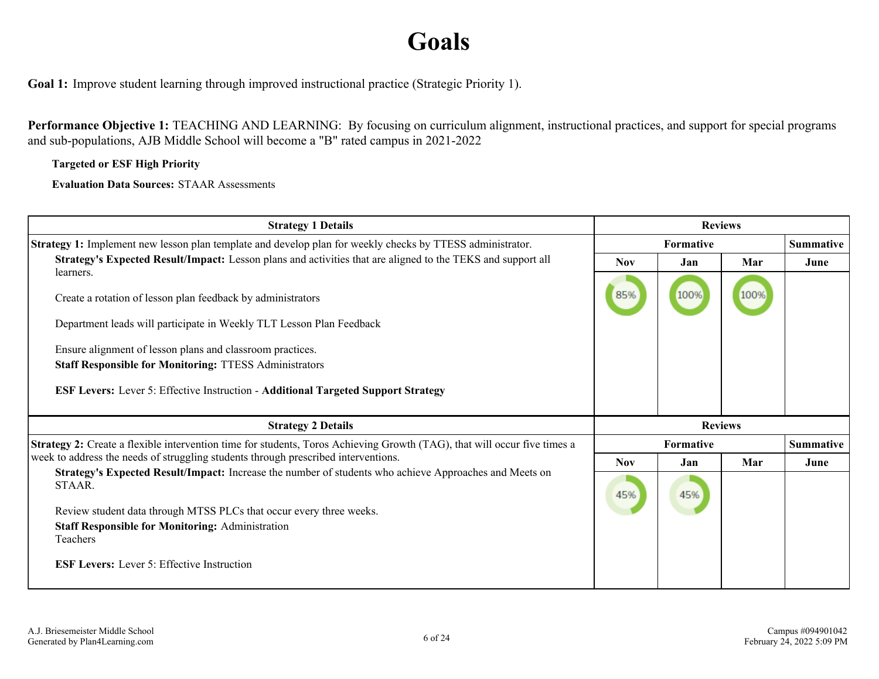# **Goals**

<span id="page-5-0"></span>**Goal 1:** Improve student learning through improved instructional practice (Strategic Priority 1).

**Performance Objective 1:** TEACHING AND LEARNING: By focusing on curriculum alignment, instructional practices, and support for special programs and sub-populations, AJB Middle School will become a "B" rated campus in 2021-2022

**Targeted or ESF High Priority**

**Evaluation Data Sources:** STAAR Assessments

| <b>Strategy 1 Details</b>                                                                                                | <b>Reviews</b> |                                      |      |                  |
|--------------------------------------------------------------------------------------------------------------------------|----------------|--------------------------------------|------|------------------|
| Strategy 1: Implement new lesson plan template and develop plan for weekly checks by TTESS administrator.                |                | <b>Summative</b><br><b>Formative</b> |      |                  |
| Strategy's Expected Result/Impact: Lesson plans and activities that are aligned to the TEKS and support all              | <b>Nov</b>     | Jan                                  | Mar  | June             |
| learners.                                                                                                                |                |                                      |      |                  |
| Create a rotation of lesson plan feedback by administrators                                                              | 85%            | 100%                                 | 100% |                  |
| Department leads will participate in Weekly TLT Lesson Plan Feedback                                                     |                |                                      |      |                  |
| Ensure alignment of lesson plans and classroom practices.                                                                |                |                                      |      |                  |
| <b>Staff Responsible for Monitoring: TTESS Administrators</b>                                                            |                |                                      |      |                  |
| <b>ESF Levers: Lever 5: Effective Instruction - Additional Targeted Support Strategy</b>                                 |                |                                      |      |                  |
| <b>Strategy 2 Details</b>                                                                                                |                | <b>Reviews</b>                       |      |                  |
| Strategy 2: Create a flexible intervention time for students, Toros Achieving Growth (TAG), that will occur five times a |                | <b>Formative</b>                     |      | <b>Summative</b> |
| week to address the needs of struggling students through prescribed interventions.                                       | <b>Nov</b>     | Jan                                  | Mar  | June             |
| Strategy's Expected Result/Impact: Increase the number of students who achieve Approaches and Meets on<br>STAAR.         | 45%            | 45%                                  |      |                  |
| Review student data through MTSS PLCs that occur every three weeks.                                                      |                |                                      |      |                  |
| <b>Staff Responsible for Monitoring: Administration</b>                                                                  |                |                                      |      |                  |
| Teachers                                                                                                                 |                |                                      |      |                  |
| <b>ESF Levers:</b> Lever 5: Effective Instruction                                                                        |                |                                      |      |                  |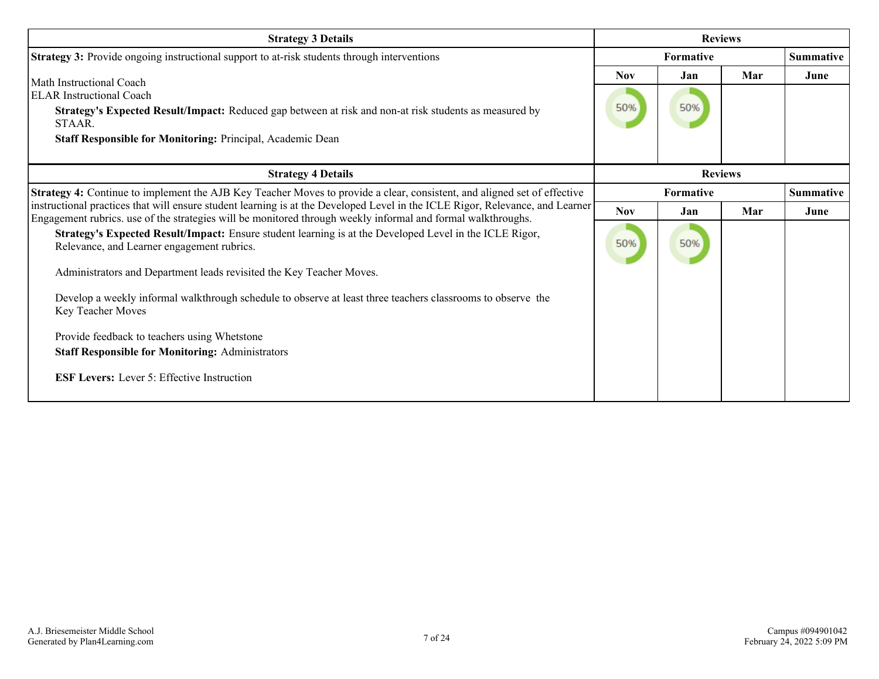| <b>Strategy 3 Details</b>                                                                                                                                                                                                                                                                                                                                         | <b>Reviews</b>    |                               |     |                  |  |
|-------------------------------------------------------------------------------------------------------------------------------------------------------------------------------------------------------------------------------------------------------------------------------------------------------------------------------------------------------------------|-------------------|-------------------------------|-----|------------------|--|
| <b>Strategy 3:</b> Provide ongoing instructional support to at-risk students through interventions                                                                                                                                                                                                                                                                |                   | Formative<br><b>Summative</b> |     |                  |  |
| Math Instructional Coach<br><b>ELAR</b> Instructional Coach<br>Strategy's Expected Result/Impact: Reduced gap between at risk and non-at risk students as measured by<br>STAAR.<br>Staff Responsible for Monitoring: Principal, Academic Dean                                                                                                                     | <b>Nov</b><br>50% | Jan<br>50%                    | Mar | June             |  |
| <b>Strategy 4 Details</b>                                                                                                                                                                                                                                                                                                                                         | <b>Reviews</b>    |                               |     |                  |  |
| Strategy 4: Continue to implement the AJB Key Teacher Moves to provide a clear, consistent, and aligned set of effective                                                                                                                                                                                                                                          |                   | Formative                     |     | <b>Summative</b> |  |
| instructional practices that will ensure student learning is at the Developed Level in the ICLE Rigor, Relevance, and Learner<br>Engagement rubrics. use of the strategies will be monitored through weekly informal and formal walkthroughs.                                                                                                                     | <b>Nov</b>        | Jan                           | Mar | June             |  |
| Strategy's Expected Result/Impact: Ensure student learning is at the Developed Level in the ICLE Rigor,<br>Relevance, and Learner engagement rubrics.<br>Administrators and Department leads revisited the Key Teacher Moves.<br>Develop a weekly informal walkthrough schedule to observe at least three teachers classrooms to observe the<br>Key Teacher Moves | 50%               | 50%                           |     |                  |  |
| Provide feedback to teachers using Whetstone<br><b>Staff Responsible for Monitoring: Administrators</b>                                                                                                                                                                                                                                                           |                   |                               |     |                  |  |
| <b>ESF Levers:</b> Lever 5: Effective Instruction                                                                                                                                                                                                                                                                                                                 |                   |                               |     |                  |  |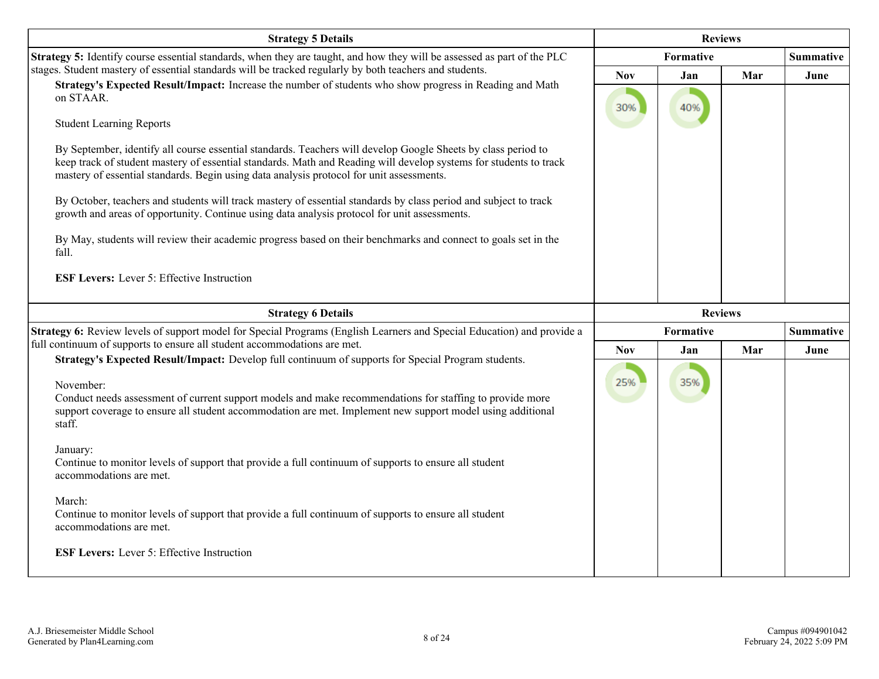| <b>Strategy 5 Details</b>                                                                                                                                                                                                                                                                                                                                                                                                                                                                                                                                                                                                                                                                                                                                                                                                 | <b>Reviews</b>    |                |     |                  |
|---------------------------------------------------------------------------------------------------------------------------------------------------------------------------------------------------------------------------------------------------------------------------------------------------------------------------------------------------------------------------------------------------------------------------------------------------------------------------------------------------------------------------------------------------------------------------------------------------------------------------------------------------------------------------------------------------------------------------------------------------------------------------------------------------------------------------|-------------------|----------------|-----|------------------|
| Strategy 5: Identify course essential standards, when they are taught, and how they will be assessed as part of the PLC                                                                                                                                                                                                                                                                                                                                                                                                                                                                                                                                                                                                                                                                                                   |                   | Formative      |     |                  |
| stages. Student mastery of essential standards will be tracked regularly by both teachers and students.<br>Strategy's Expected Result/Impact: Increase the number of students who show progress in Reading and Math<br>on STAAR.<br><b>Student Learning Reports</b><br>By September, identify all course essential standards. Teachers will develop Google Sheets by class period to<br>keep track of student mastery of essential standards. Math and Reading will develop systems for students to track<br>mastery of essential standards. Begin using data analysis protocol for unit assessments.<br>By October, teachers and students will track mastery of essential standards by class period and subject to track<br>growth and areas of opportunity. Continue using data analysis protocol for unit assessments. | <b>Nov</b><br>30% | Jan<br>40%     | Mar | June             |
| By May, students will review their academic progress based on their benchmarks and connect to goals set in the<br>fall.<br><b>ESF Levers:</b> Lever 5: Effective Instruction                                                                                                                                                                                                                                                                                                                                                                                                                                                                                                                                                                                                                                              |                   |                |     |                  |
| <b>Strategy 6 Details</b>                                                                                                                                                                                                                                                                                                                                                                                                                                                                                                                                                                                                                                                                                                                                                                                                 |                   | <b>Reviews</b> |     |                  |
| Strategy 6: Review levels of support model for Special Programs (English Learners and Special Education) and provide a<br>full continuum of supports to ensure all student accommodations are met.                                                                                                                                                                                                                                                                                                                                                                                                                                                                                                                                                                                                                        |                   | Formative      |     | <b>Summative</b> |
| Strategy's Expected Result/Impact: Develop full continuum of supports for Special Program students.<br>November:<br>Conduct needs assessment of current support models and make recommendations for staffing to provide more<br>support coverage to ensure all student accommodation are met. Implement new support model using additional<br>staff.<br>January:<br>Continue to monitor levels of support that provide a full continuum of supports to ensure all student<br>accommodations are met.<br>March:<br>Continue to monitor levels of support that provide a full continuum of supports to ensure all student                                                                                                                                                                                                   | <b>Nov</b><br>25% | Jan<br>35%     | Mar | June             |
| accommodations are met.<br><b>ESF Levers:</b> Lever 5: Effective Instruction                                                                                                                                                                                                                                                                                                                                                                                                                                                                                                                                                                                                                                                                                                                                              |                   |                |     |                  |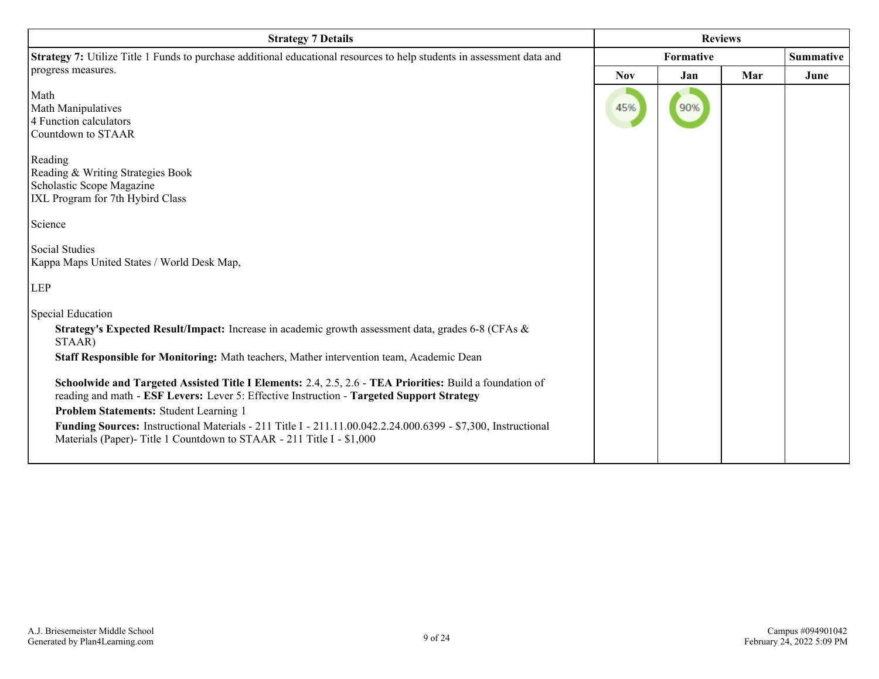| <b>Strategy 7 Details</b>                                                                                                                                                                                                                                                                                                                                                                                                                                                                                                                                                                                                                                                  | <b>Reviews</b> |                               |     |      |
|----------------------------------------------------------------------------------------------------------------------------------------------------------------------------------------------------------------------------------------------------------------------------------------------------------------------------------------------------------------------------------------------------------------------------------------------------------------------------------------------------------------------------------------------------------------------------------------------------------------------------------------------------------------------------|----------------|-------------------------------|-----|------|
| <b>Strategy 7:</b> Utilize Title 1 Funds to purchase additional educational resources to help students in assessment data and                                                                                                                                                                                                                                                                                                                                                                                                                                                                                                                                              |                | Formative<br><b>Summative</b> |     |      |
| progress measures.                                                                                                                                                                                                                                                                                                                                                                                                                                                                                                                                                                                                                                                         | <b>Nov</b>     | Jan                           | Mar | June |
| Math<br>Math Manipulatives<br>4 Function calculators<br>Countdown to STAAR                                                                                                                                                                                                                                                                                                                                                                                                                                                                                                                                                                                                 | 45%            | 90%                           |     |      |
| Reading<br>Reading & Writing Strategies Book<br>Scholastic Scope Magazine<br>IXL Program for 7th Hybird Class<br>Science                                                                                                                                                                                                                                                                                                                                                                                                                                                                                                                                                   |                |                               |     |      |
| Social Studies<br>Kappa Maps United States / World Desk Map,<br><b>LEP</b>                                                                                                                                                                                                                                                                                                                                                                                                                                                                                                                                                                                                 |                |                               |     |      |
| Special Education<br>Strategy's Expected Result/Impact: Increase in academic growth assessment data, grades 6-8 (CFAs &<br>STAAR)<br>Staff Responsible for Monitoring: Math teachers, Mather intervention team, Academic Dean<br>Schoolwide and Targeted Assisted Title I Elements: 2.4, 2.5, 2.6 - TEA Priorities: Build a foundation of<br>reading and math - ESF Levers: Lever 5: Effective Instruction - Targeted Support Strategy<br>Problem Statements: Student Learning 1<br>Funding Sources: Instructional Materials - 211 Title I - 211.11.00.042.2.24.000.6399 - \$7,300, Instructional<br>Materials (Paper)- Title 1 Countdown to STAAR - 211 Title I - \$1,000 |                |                               |     |      |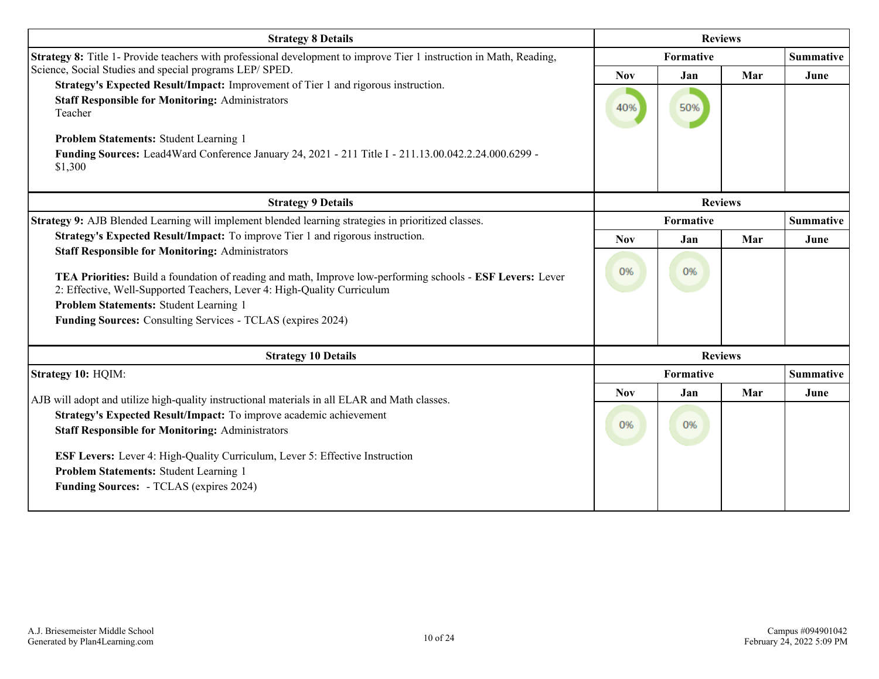| <b>Strategy 8 Details</b>                                                                                           |            |            | <b>Reviews</b> |                  |
|---------------------------------------------------------------------------------------------------------------------|------------|------------|----------------|------------------|
| Strategy 8: Title 1- Provide teachers with professional development to improve Tier 1 instruction in Math, Reading, |            | Formative  |                |                  |
| Science, Social Studies and special programs LEP/ SPED.                                                             | <b>Nov</b> | Mar<br>Jan |                |                  |
| Strategy's Expected Result/Impact: Improvement of Tier 1 and rigorous instruction.                                  |            |            |                |                  |
| <b>Staff Responsible for Monitoring: Administrators</b><br>Teacher                                                  | 40%        | 50%        |                |                  |
|                                                                                                                     |            |            |                |                  |
| <b>Problem Statements: Student Learning 1</b>                                                                       |            |            |                |                  |
| Funding Sources: Lead4Ward Conference January 24, 2021 - 211 Title I - 211.13.00.042.2.24.000.6299 -<br>\$1,300     |            |            |                |                  |
| <b>Strategy 9 Details</b>                                                                                           |            |            | <b>Reviews</b> |                  |
| Strategy 9: AJB Blended Learning will implement blended learning strategies in prioritized classes.                 |            | Formative  |                |                  |
| Strategy's Expected Result/Impact: To improve Tier 1 and rigorous instruction.                                      | <b>Nov</b> | Jan        | Mar            | June             |
| <b>Staff Responsible for Monitoring: Administrators</b>                                                             |            |            |                |                  |
| TEA Priorities: Build a foundation of reading and math, Improve low-performing schools - ESF Levers: Lever          | 0%         | 0%         |                |                  |
| 2: Effective, Well-Supported Teachers, Lever 4: High-Quality Curriculum                                             |            |            |                |                  |
| Problem Statements: Student Learning 1                                                                              |            |            |                |                  |
| Funding Sources: Consulting Services - TCLAS (expires 2024)                                                         |            |            |                |                  |
|                                                                                                                     |            |            |                |                  |
| <b>Strategy 10 Details</b>                                                                                          |            |            | <b>Reviews</b> |                  |
| Strategy 10: HQIM:                                                                                                  |            | Formative  |                | <b>Summative</b> |
| AJB will adopt and utilize high-quality instructional materials in all ELAR and Math classes.                       | <b>Nov</b> | Jan        | Mar            | June             |
| Strategy's Expected Result/Impact: To improve academic achievement                                                  |            |            |                |                  |
| <b>Staff Responsible for Monitoring: Administrators</b>                                                             | 0%         | 0%         |                |                  |
|                                                                                                                     |            |            |                |                  |
| <b>ESF Levers:</b> Lever 4: High-Quality Curriculum, Lever 5: Effective Instruction                                 |            |            |                |                  |
| Problem Statements: Student Learning 1                                                                              |            |            |                |                  |
| <b>Funding Sources:</b> - TCLAS (expires 2024)                                                                      |            |            |                |                  |
|                                                                                                                     |            |            |                |                  |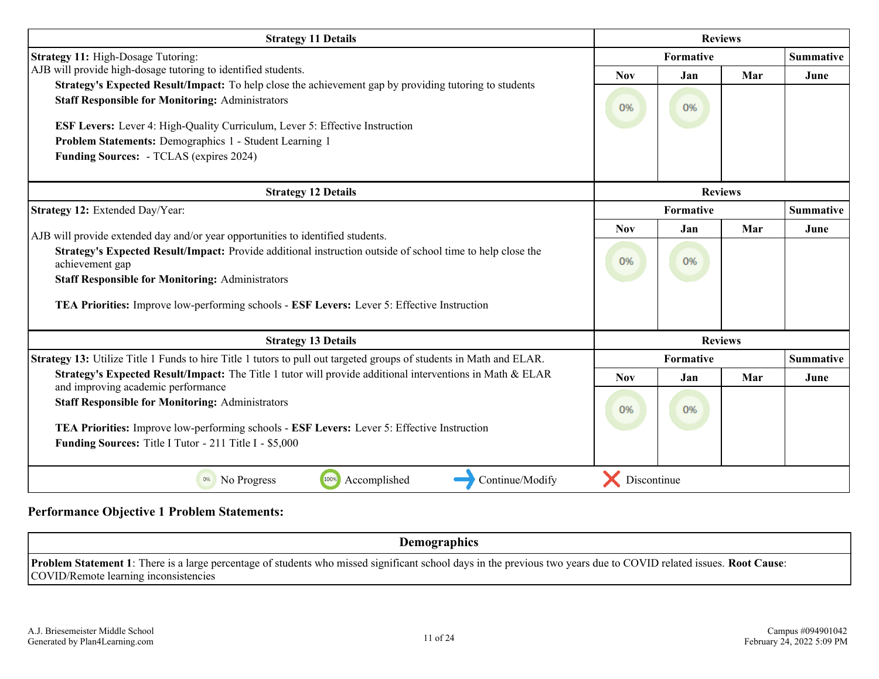| <b>Strategy 11 Details</b>                                                                                                                                        | <b>Reviews</b> |           |                |                  |  |
|-------------------------------------------------------------------------------------------------------------------------------------------------------------------|----------------|-----------|----------------|------------------|--|
| <b>Strategy 11:</b> High-Dosage Tutoring:                                                                                                                         |                | Formative |                |                  |  |
| AJB will provide high-dosage tutoring to identified students.                                                                                                     | <b>Nov</b>     | Jan       | Mar            | June             |  |
| Strategy's Expected Result/Impact: To help close the achievement gap by providing tutoring to students<br><b>Staff Responsible for Monitoring: Administrators</b> | 0%             | 0%        |                |                  |  |
| <b>ESF Levers:</b> Lever 4: High-Quality Curriculum, Lever 5: Effective Instruction                                                                               |                |           |                |                  |  |
| Problem Statements: Demographics 1 - Student Learning 1                                                                                                           |                |           |                |                  |  |
| <b>Funding Sources:</b> - TCLAS (expires 2024)                                                                                                                    |                |           |                |                  |  |
| <b>Strategy 12 Details</b>                                                                                                                                        |                |           | <b>Reviews</b> |                  |  |
| Strategy 12: Extended Day/Year:                                                                                                                                   |                | Formative |                | <b>Summative</b> |  |
| AJB will provide extended day and/or year opportunities to identified students.                                                                                   | <b>Nov</b>     | Jan       | Mar            | June             |  |
| Strategy's Expected Result/Impact: Provide additional instruction outside of school time to help close the<br>achievement gap                                     | 0%             | 0%        |                |                  |  |
| <b>Staff Responsible for Monitoring: Administrators</b>                                                                                                           |                |           |                |                  |  |
| TEA Priorities: Improve low-performing schools - ESF Levers: Lever 5: Effective Instruction                                                                       |                |           |                |                  |  |
| <b>Strategy 13 Details</b>                                                                                                                                        |                |           | <b>Reviews</b> |                  |  |
| Strategy 13: Utilize Title 1 Funds to hire Title 1 tutors to pull out targeted groups of students in Math and ELAR.                                               |                | Formative |                | <b>Summative</b> |  |
| <b>Strategy's Expected Result/Impact:</b> The Title 1 tutor will provide additional interventions in Math $\&$ ELAR                                               | <b>Nov</b>     | Jan       | Mar            | June             |  |
| and improving academic performance<br><b>Staff Responsible for Monitoring: Administrators</b>                                                                     | 0%             | 0%        |                |                  |  |
| TEA Priorities: Improve low-performing schools - ESF Levers: Lever 5: Effective Instruction                                                                       |                |           |                |                  |  |
| Funding Sources: Title I Tutor - 211 Title I - \$5,000                                                                                                            |                |           |                |                  |  |
| 100%<br>Accomplished<br>Continue/Modify<br>0%<br>No Progress                                                                                                      | Discontinue    |           |                |                  |  |

#### **Performance Objective 1 Problem Statements:**

**Demographics**

**Problem Statement 1**: There is a large percentage of students who missed significant school days in the previous two years due to COVID related issues. **Root Cause**: COVID/Remote learning inconsistencies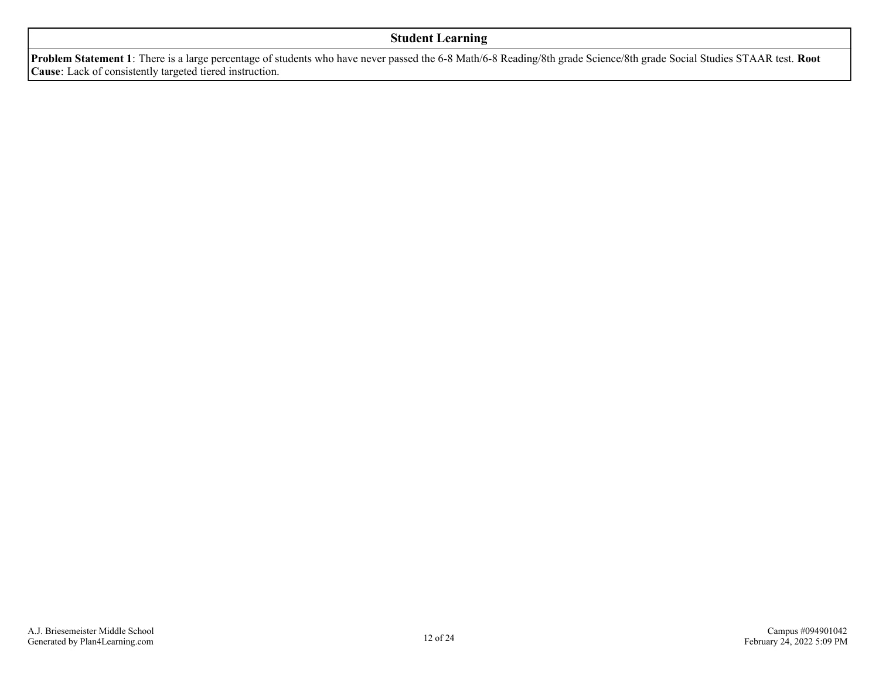#### **Student Learning**

**Problem Statement 1**: There is a large percentage of students who have never passed the 6-8 Math/6-8 Reading/8th grade Science/8th grade Social Studies STAAR test. **Root Cause**: Lack of consistently targeted tiered instruction.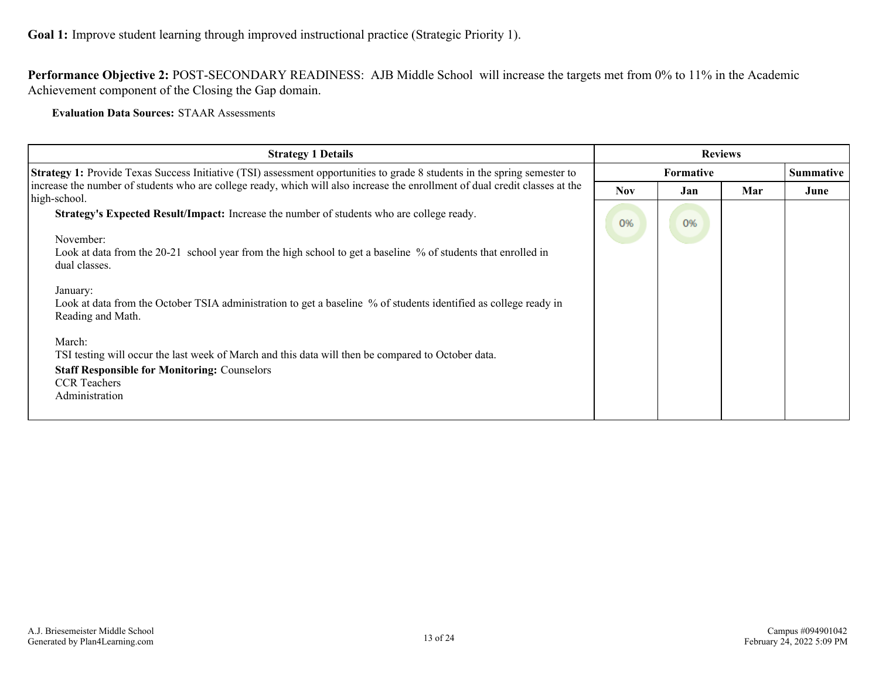**Performance Objective 2:** POST-SECONDARY READINESS: AJB Middle School will increase the targets met from 0% to 11% in the Academic Achievement component of the Closing the Gap domain.

**Evaluation Data Sources:** STAAR Assessments

| <b>Strategy 1 Details</b>                                                                                                                                                                                    | <b>Reviews</b>   |     |     |                  |
|--------------------------------------------------------------------------------------------------------------------------------------------------------------------------------------------------------------|------------------|-----|-----|------------------|
| <b>Strategy 1:</b> Provide Texas Success Initiative (TSI) assessment opportunities to grade 8 students in the spring semester to                                                                             | <b>Formative</b> |     |     | <b>Summative</b> |
| increase the number of students who are college ready, which will also increase the enrollment of dual credit classes at the<br>high-school.                                                                 | <b>Nov</b>       | Jan | Mar | June             |
| Strategy's Expected Result/Impact: Increase the number of students who are college ready.<br>November:                                                                                                       | 0%               | 0%  |     |                  |
| Look at data from the 20-21 school year from the high school to get a baseline % of students that enrolled in<br>dual classes.                                                                               |                  |     |     |                  |
| January:<br>Look at data from the October TSIA administration to get a baseline % of students identified as college ready in<br>Reading and Math.                                                            |                  |     |     |                  |
| March:<br>TSI testing will occur the last week of March and this data will then be compared to October data.<br><b>Staff Responsible for Monitoring: Counselors</b><br><b>CCR</b> Teachers<br>Administration |                  |     |     |                  |
|                                                                                                                                                                                                              |                  |     |     |                  |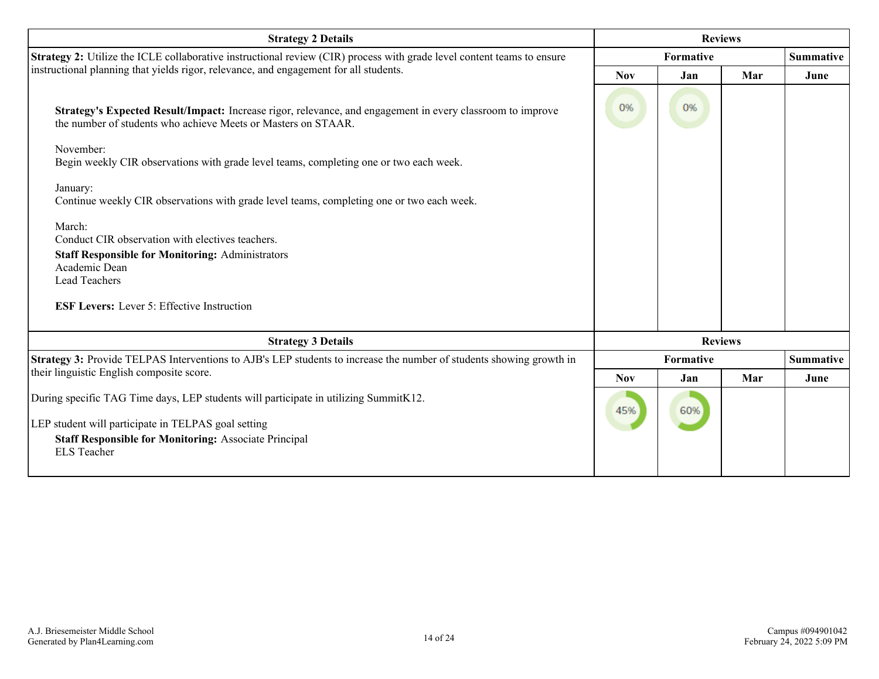| <b>Strategy 2 Details</b>                                                                                                                                                   | <b>Reviews</b> |                  |     |                  |
|-----------------------------------------------------------------------------------------------------------------------------------------------------------------------------|----------------|------------------|-----|------------------|
| <b>Strategy 2:</b> Utilize the ICLE collaborative instructional review (CIR) process with grade level content teams to ensure                                               |                | <b>Formative</b> |     |                  |
| instructional planning that yields rigor, relevance, and engagement for all students.                                                                                       | <b>Nov</b>     | Jan              | Mar | June             |
| Strategy's Expected Result/Impact: Increase rigor, relevance, and engagement in every classroom to improve<br>the number of students who achieve Meets or Masters on STAAR. | 0%             | 0%               |     |                  |
| November:<br>Begin weekly CIR observations with grade level teams, completing one or two each week.                                                                         |                |                  |     |                  |
| January:<br>Continue weekly CIR observations with grade level teams, completing one or two each week.                                                                       |                |                  |     |                  |
| March:<br>Conduct CIR observation with electives teachers.                                                                                                                  |                |                  |     |                  |
| <b>Staff Responsible for Monitoring: Administrators</b><br>Academic Dean                                                                                                    |                |                  |     |                  |
| Lead Teachers                                                                                                                                                               |                |                  |     |                  |
| <b>ESF Levers:</b> Lever 5: Effective Instruction                                                                                                                           |                |                  |     |                  |
| <b>Strategy 3 Details</b>                                                                                                                                                   |                | <b>Reviews</b>   |     |                  |
| Strategy 3: Provide TELPAS Interventions to AJB's LEP students to increase the number of students showing growth in                                                         |                | <b>Formative</b> |     | <b>Summative</b> |
| their linguistic English composite score.                                                                                                                                   | <b>Nov</b>     | Jan              | Mar | June             |
| During specific TAG Time days, LEP students will participate in utilizing SummitK12.                                                                                        | 45%            | 60%              |     |                  |
| LEP student will participate in TELPAS goal setting                                                                                                                         |                |                  |     |                  |
| <b>Staff Responsible for Monitoring: Associate Principal</b><br><b>ELS</b> Teacher                                                                                          |                |                  |     |                  |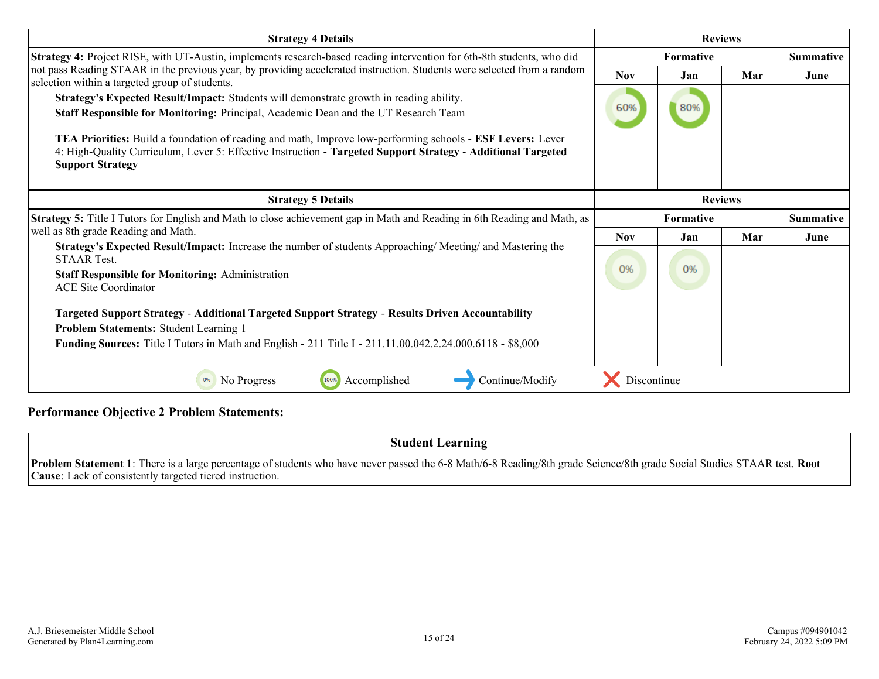| <b>Strategy 4 Details</b>                                                                                                                                                                                                                                                                                                                                                                                                               | <b>Reviews</b>   |      |     |                  |
|-----------------------------------------------------------------------------------------------------------------------------------------------------------------------------------------------------------------------------------------------------------------------------------------------------------------------------------------------------------------------------------------------------------------------------------------|------------------|------|-----|------------------|
| Strategy 4: Project RISE, with UT-Austin, implements research-based reading intervention for 6th-8th students, who did                                                                                                                                                                                                                                                                                                                  | <b>Formative</b> |      |     | <b>Summative</b> |
| not pass Reading STAAR in the previous year, by providing accelerated instruction. Students were selected from a random<br>selection within a targeted group of students.                                                                                                                                                                                                                                                               | <b>Nov</b>       | Jan  | Mar | June             |
| Strategy's Expected Result/Impact: Students will demonstrate growth in reading ability.<br>Staff Responsible for Monitoring: Principal, Academic Dean and the UT Research Team<br>TEA Priorities: Build a foundation of reading and math, Improve low-performing schools - ESF Levers: Lever<br>4: High-Quality Curriculum, Lever 5: Effective Instruction - Targeted Support Strategy - Additional Targeted<br><b>Support Strategy</b> | 60%              | 80%  |     |                  |
| <b>Strategy 5 Details</b>                                                                                                                                                                                                                                                                                                                                                                                                               | <b>Reviews</b>   |      |     |                  |
| <b>Strategy 5:</b> Title I Tutors for English and Math to close achievement gap in Math and Reading in 6th Reading and Math, as                                                                                                                                                                                                                                                                                                         | Formative        |      |     | <b>Summative</b> |
| well as 8th grade Reading and Math.                                                                                                                                                                                                                                                                                                                                                                                                     | <b>Nov</b>       | Jan. | Mar | June             |
| Strategy's Expected Result/Impact: Increase the number of students Approaching/Meeting/ and Mastering the<br><b>STAAR Test.</b><br><b>Staff Responsible for Monitoring: Administration</b><br><b>ACE Site Coordinator</b>                                                                                                                                                                                                               | 0%               | 0%   |     |                  |
| <b>Targeted Support Strategy - Additional Targeted Support Strategy - Results Driven Accountability</b><br>Problem Statements: Student Learning 1<br><b>Funding Sources:</b> Title I Tutors in Math and English - 211 Title I - 211.11.00.042.2.24.000.6118 - \$8,000                                                                                                                                                                   |                  |      |     |                  |
| 100%<br>Continue/Modify<br>0%<br>No Progress<br>Accomplished                                                                                                                                                                                                                                                                                                                                                                            | Discontinue      |      |     |                  |

#### **Performance Objective 2 Problem Statements:**

**Student Learning Problem Statement 1**: There is a large percentage of students who have never passed the 6-8 Math/6-8 Reading/8th grade Science/8th grade Social Studies STAAR test. **Root Cause**: Lack of consistently targeted tiered instruction.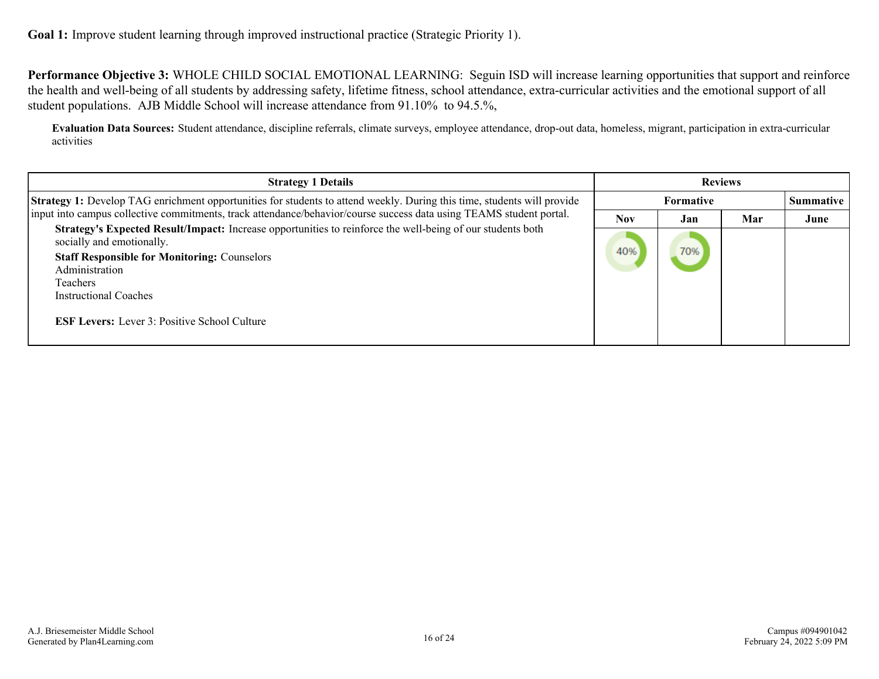**Performance Objective 3:** WHOLE CHILD SOCIAL EMOTIONAL LEARNING: Seguin ISD will increase learning opportunities that support and reinforce the health and well-being of all students by addressing safety, lifetime fitness, school attendance, extra-curricular activities and the emotional support of all student populations. AJB Middle School will increase attendance from 91.10% to 94.5.%,

**Evaluation Data Sources:** Student attendance, discipline referrals, climate surveys, employee attendance, drop-out data, homeless, migrant, participation in extra-curricular activities

| <b>Strategy 1 Details</b>                                                                                                               | <b>Reviews</b> |                  |     |      |  |           |
|-----------------------------------------------------------------------------------------------------------------------------------------|----------------|------------------|-----|------|--|-----------|
| Strategy 1: Develop TAG enrichment opportunities for students to attend weekly. During this time, students will provide                 |                | <b>Formative</b> |     |      |  | Summative |
| input into campus collective commitments, track attendance/behavior/course success data using TEAMS student portal.                     | <b>Nov</b>     | Jan              | Mar | June |  |           |
| Strategy's Expected Result/Impact: Increase opportunities to reinforce the well-being of our students both<br>socially and emotionally. |                | 70%              |     |      |  |           |
| <b>Staff Responsible for Monitoring: Counselors</b>                                                                                     | 40%            |                  |     |      |  |           |
| Administration                                                                                                                          |                |                  |     |      |  |           |
| <b>Teachers</b>                                                                                                                         |                |                  |     |      |  |           |
| <b>Instructional Coaches</b>                                                                                                            |                |                  |     |      |  |           |
| <b>ESF Levers:</b> Lever 3: Positive School Culture                                                                                     |                |                  |     |      |  |           |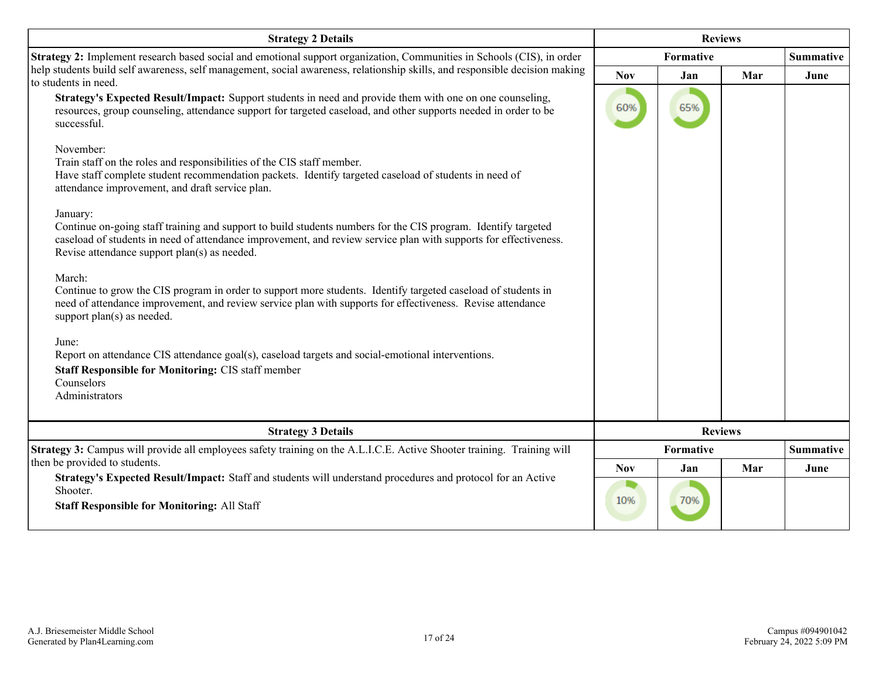| <b>Strategy 2 Details</b>                                                                                                                                                                                                                                                                     | <b>Reviews</b> |     |     |                  |
|-----------------------------------------------------------------------------------------------------------------------------------------------------------------------------------------------------------------------------------------------------------------------------------------------|----------------|-----|-----|------------------|
| Strategy 2: Implement research based social and emotional support organization, Communities in Schools (CIS), in order                                                                                                                                                                        | Formative      |     |     | <b>Summative</b> |
| help students build self awareness, self management, social awareness, relationship skills, and responsible decision making<br>to students in need.                                                                                                                                           | <b>Nov</b>     | Jan | Mar | June             |
| Strategy's Expected Result/Impact: Support students in need and provide them with one on one counseling,<br>resources, group counseling, attendance support for targeted caseload, and other supports needed in order to be<br>successful.                                                    | 60%            | 65% |     |                  |
| November:<br>Train staff on the roles and responsibilities of the CIS staff member.<br>Have staff complete student recommendation packets. Identify targeted caseload of students in need of<br>attendance improvement, and draft service plan.                                               |                |     |     |                  |
| January:<br>Continue on-going staff training and support to build students numbers for the CIS program. Identify targeted<br>caseload of students in need of attendance improvement, and review service plan with supports for effectiveness.<br>Revise attendance support plan(s) as needed. |                |     |     |                  |
| March:<br>Continue to grow the CIS program in order to support more students. Identify targeted caseload of students in<br>need of attendance improvement, and review service plan with supports for effectiveness. Revise attendance<br>support plan(s) as needed.                           |                |     |     |                  |
| June:<br>Report on attendance CIS attendance goal(s), caseload targets and social-emotional interventions.<br><b>Staff Responsible for Monitoring: CIS staff member</b><br>Counselors<br>Administrators                                                                                       |                |     |     |                  |
| <b>Strategy 3 Details</b>                                                                                                                                                                                                                                                                     | <b>Reviews</b> |     |     |                  |
| Strategy 3: Campus will provide all employees safety training on the A.L.I.C.E. Active Shooter training. Training will                                                                                                                                                                        | Formative      |     |     | <b>Summative</b> |
| then be provided to students.<br>Strategy's Expected Result/Impact: Staff and students will understand procedures and protocol for an Active                                                                                                                                                  | <b>Nov</b>     | Jan | Mar | June             |
| Shooter.<br><b>Staff Responsible for Monitoring: All Staff</b>                                                                                                                                                                                                                                | 10%            | 70% |     |                  |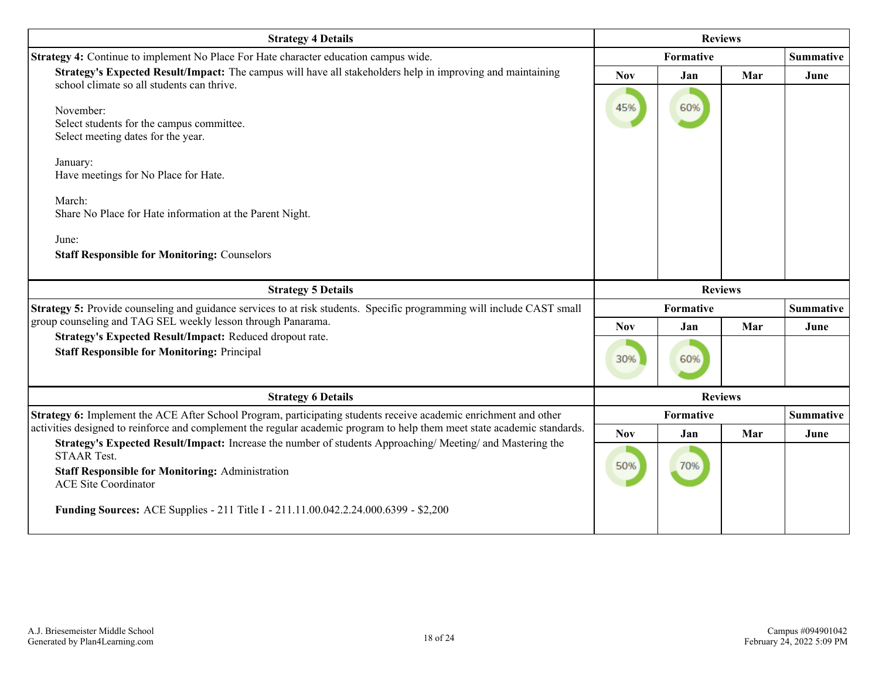| <b>Strategy 4 Details</b>                                                                                                                                                                                                 | <b>Reviews</b>   |                |                  |                  |
|---------------------------------------------------------------------------------------------------------------------------------------------------------------------------------------------------------------------------|------------------|----------------|------------------|------------------|
| Strategy 4: Continue to implement No Place For Hate character education campus wide.                                                                                                                                      | <b>Formative</b> |                | <b>Summative</b> |                  |
| Strategy's Expected Result/Impact: The campus will have all stakeholders help in improving and maintaining<br>school climate so all students can thrive.                                                                  | <b>Nov</b>       | Jan            | Mar              | June             |
| November:<br>Select students for the campus committee.<br>Select meeting dates for the year.                                                                                                                              | 45%              | 60%            |                  |                  |
| January:<br>Have meetings for No Place for Hate.                                                                                                                                                                          |                  |                |                  |                  |
| March:<br>Share No Place for Hate information at the Parent Night.                                                                                                                                                        |                  |                |                  |                  |
| June:<br><b>Staff Responsible for Monitoring: Counselors</b>                                                                                                                                                              |                  |                |                  |                  |
|                                                                                                                                                                                                                           |                  |                |                  |                  |
| <b>Strategy 5 Details</b>                                                                                                                                                                                                 |                  | <b>Reviews</b> |                  |                  |
| Strategy 5: Provide counseling and guidance services to at risk students. Specific programming will include CAST small                                                                                                    |                  | Formative      |                  | <b>Summative</b> |
| group counseling and TAG SEL weekly lesson through Panarama.                                                                                                                                                              | <b>Nov</b>       | Jan            | Mar              | June             |
| Strategy's Expected Result/Impact: Reduced dropout rate.<br><b>Staff Responsible for Monitoring: Principal</b>                                                                                                            | 30%              | 60%            |                  |                  |
| <b>Strategy 6 Details</b>                                                                                                                                                                                                 |                  | <b>Reviews</b> |                  |                  |
| Strategy 6: Implement the ACE After School Program, participating students receive academic enrichment and other                                                                                                          |                  | Formative      |                  | <b>Summative</b> |
| activities designed to reinforce and complement the regular academic program to help them meet state academic standards.                                                                                                  | <b>Nov</b>       | Jan            | Mar              | June             |
| Strategy's Expected Result/Impact: Increase the number of students Approaching/Meeting/ and Mastering the<br><b>STAAR Test.</b><br><b>Staff Responsible for Monitoring: Administration</b><br><b>ACE Site Coordinator</b> | 50%              | 70%            |                  |                  |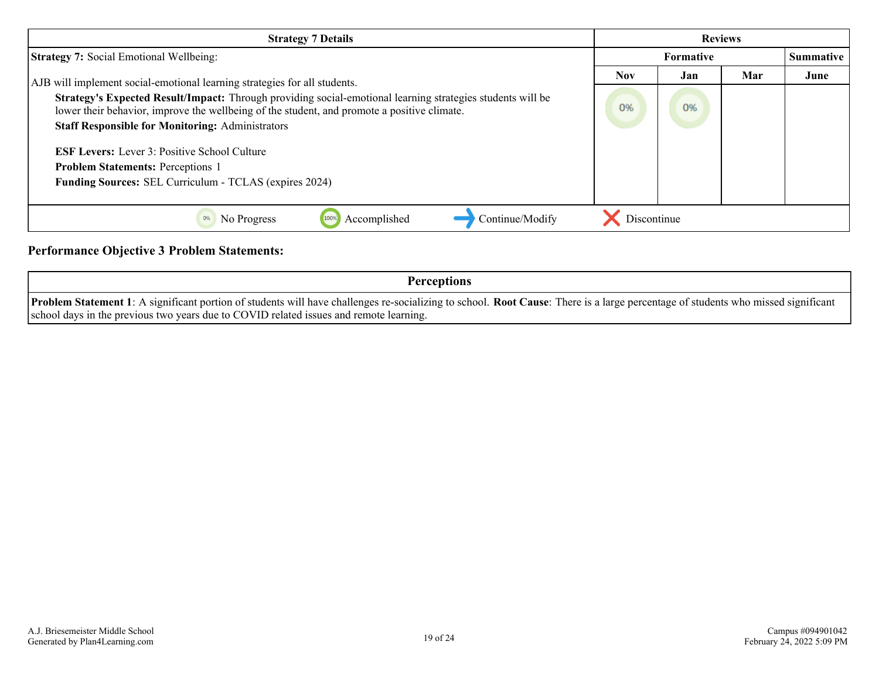| <b>Strategy 7 Details</b>                                                                                                                                                                                 | <b>Reviews</b> |                  |     |                  |
|-----------------------------------------------------------------------------------------------------------------------------------------------------------------------------------------------------------|----------------|------------------|-----|------------------|
| <b>Strategy 7: Social Emotional Wellbeing:</b>                                                                                                                                                            |                | <b>Formative</b> |     | <b>Summative</b> |
| AJB will implement social-emotional learning strategies for all students.                                                                                                                                 | <b>Nov</b>     | Jan              | Mar | June             |
| Strategy's Expected Result/Impact: Through providing social-emotional learning strategies students will be<br>lower their behavior, improve the wellbeing of the student, and promote a positive climate. | 0%             | 0%               |     |                  |
| <b>Staff Responsible for Monitoring: Administrators</b>                                                                                                                                                   |                |                  |     |                  |
| <b>ESF Levers:</b> Lever 3: Positive School Culture                                                                                                                                                       |                |                  |     |                  |
| <b>Problem Statements: Perceptions 1</b>                                                                                                                                                                  |                |                  |     |                  |
| <b>Funding Sources: SEL Curriculum - TCLAS (expires 2024)</b>                                                                                                                                             |                |                  |     |                  |
|                                                                                                                                                                                                           |                |                  |     |                  |
| Continue/Modify<br>Accomplished<br>No Progress                                                                                                                                                            | Discontinue    |                  |     |                  |

#### **Performance Objective 3 Problem Statements:**

**Perceptions**

**Problem Statement 1**: A significant portion of students will have challenges re-socializing to school. **Root Cause**: There is a large percentage of students who missed significant school days in the previous two years due to COVID related issues and remote learning.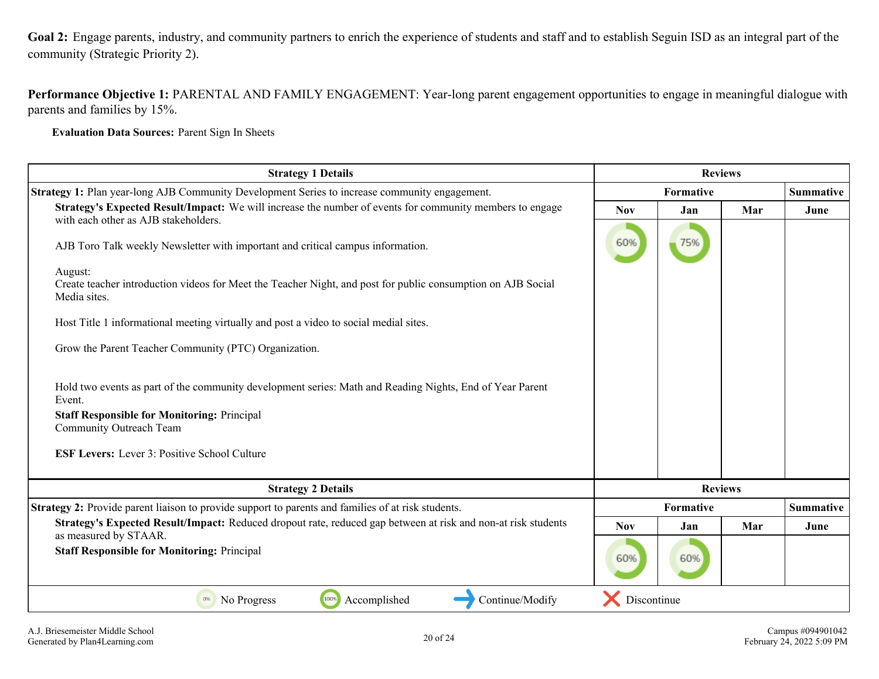<span id="page-19-0"></span>**Goal 2:** Engage parents, industry, and community partners to enrich the experience of students and staff and to establish Seguin ISD as an integral part of the community (Strategic Priority 2).

**Performance Objective 1:** PARENTAL AND FAMILY ENGAGEMENT: Year-long parent engagement opportunities to engage in meaningful dialogue with parents and families by 15%.

**Evaluation Data Sources:** Parent Sign In Sheets

| <b>Strategy 1 Details</b>                                                                                                                        | <b>Reviews</b> |     |                  |                  |
|--------------------------------------------------------------------------------------------------------------------------------------------------|----------------|-----|------------------|------------------|
| <b>Strategy 1:</b> Plan year-long AJB Community Development Series to increase community engagement.                                             | Formative      |     | <b>Summative</b> |                  |
| Strategy's Expected Result/Impact: We will increase the number of events for community members to engage<br>with each other as AJB stakeholders. | <b>Nov</b>     | Jan | Mar              | June             |
| AJB Toro Talk weekly Newsletter with important and critical campus information.                                                                  | 60%            | 75% |                  |                  |
| August:<br>Create teacher introduction videos for Meet the Teacher Night, and post for public consumption on AJB Social<br>Media sites.          |                |     |                  |                  |
| Host Title 1 informational meeting virtually and post a video to social medial sites.                                                            |                |     |                  |                  |
| Grow the Parent Teacher Community (PTC) Organization.                                                                                            |                |     |                  |                  |
| Hold two events as part of the community development series: Math and Reading Nights, End of Year Parent<br>Event.                               |                |     |                  |                  |
| <b>Staff Responsible for Monitoring: Principal</b><br>Community Outreach Team                                                                    |                |     |                  |                  |
| <b>ESF Levers:</b> Lever 3: Positive School Culture                                                                                              |                |     |                  |                  |
| <b>Strategy 2 Details</b>                                                                                                                        | <b>Reviews</b> |     |                  |                  |
| <b>Strategy 2:</b> Provide parent liaison to provide support to parents and families of at risk students.                                        | Formative      |     |                  | <b>Summative</b> |
| Strategy's Expected Result/Impact: Reduced dropout rate, reduced gap between at risk and non-at risk students<br>as measured by STAAR.           | <b>Nov</b>     | Jan | Mar              | June             |
| <b>Staff Responsible for Monitoring: Principal</b>                                                                                               | 60%            | 60% |                  |                  |
| 100%<br>Accomplished<br>Continue/Modify<br>0%<br>No Progress                                                                                     | Discontinue    |     |                  |                  |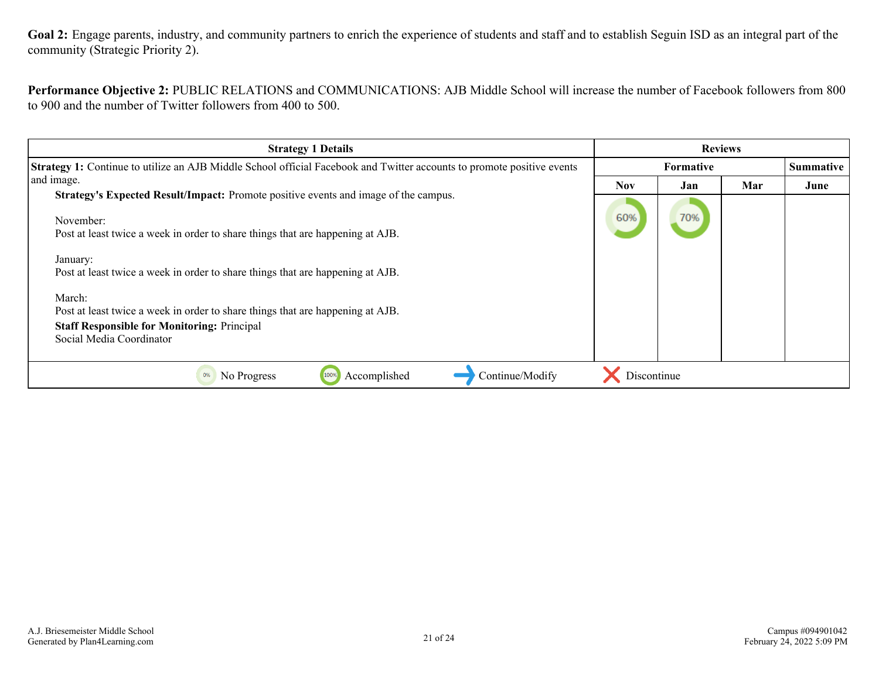Goal 2: Engage parents, industry, and community partners to enrich the experience of students and staff and to establish Seguin ISD as an integral part of the community (Strategic Priority 2).

**Performance Objective 2:** PUBLIC RELATIONS and COMMUNICATIONS: AJB Middle School will increase the number of Facebook followers from 800 to 900 and the number of Twitter followers from 400 to 500.

| <b>Strategy 1 Details</b>                                                                                                     | <b>Reviews</b>   |     |                  |      |
|-------------------------------------------------------------------------------------------------------------------------------|------------------|-----|------------------|------|
| <b>Strategy 1:</b> Continue to utilize an AJB Middle School official Facebook and Twitter accounts to promote positive events | <b>Formative</b> |     | <b>Summative</b> |      |
| and image.                                                                                                                    | <b>Nov</b>       | Jan | Mar              | June |
| Strategy's Expected Result/Impact: Promote positive events and image of the campus.                                           |                  |     |                  |      |
| November:                                                                                                                     | 60%              | 70% |                  |      |
| Post at least twice a week in order to share things that are happening at AJB.                                                |                  |     |                  |      |
| January:                                                                                                                      |                  |     |                  |      |
| Post at least twice a week in order to share things that are happening at AJB.                                                |                  |     |                  |      |
| March:                                                                                                                        |                  |     |                  |      |
| Post at least twice a week in order to share things that are happening at AJB.                                                |                  |     |                  |      |
| <b>Staff Responsible for Monitoring: Principal</b>                                                                            |                  |     |                  |      |
| Social Media Coordinator                                                                                                      |                  |     |                  |      |
|                                                                                                                               |                  |     |                  |      |
| Continue/Modify<br>No Progress<br>Accomplished<br>100%<br>0%                                                                  | Discontinue      |     |                  |      |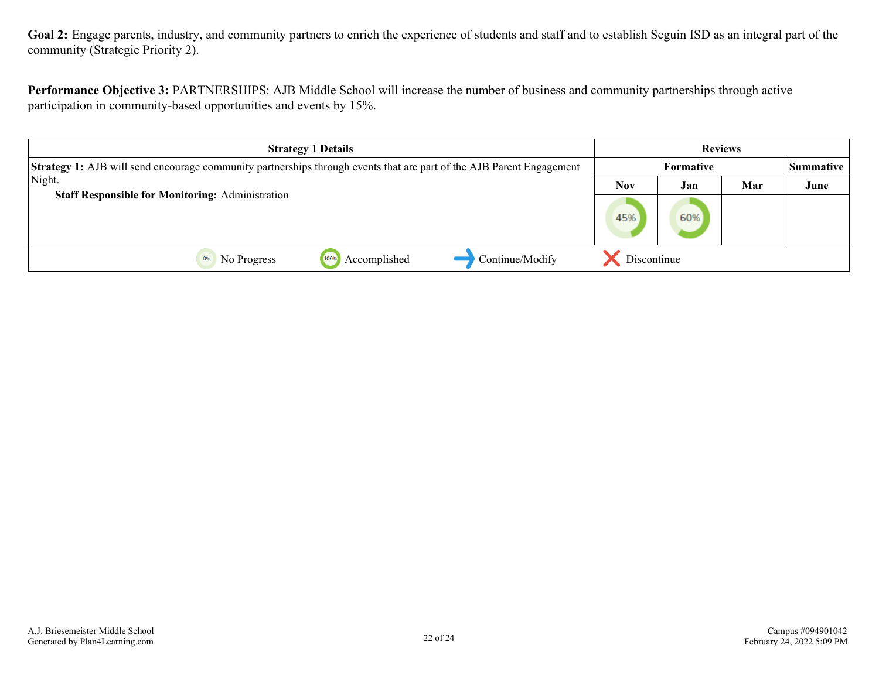**Goal 2:** Engage parents, industry, and community partners to enrich the experience of students and staff and to establish Seguin ISD as an integral part of the community (Strategic Priority 2).

**Performance Objective 3:** PARTNERSHIPS: AJB Middle School will increase the number of business and community partnerships through active participation in community-based opportunities and events by 15%.

| <b>Strategy 1 Details</b>                                                                                                   |             |                  | <b>Reviews</b> |                  |
|-----------------------------------------------------------------------------------------------------------------------------|-------------|------------------|----------------|------------------|
| <b>Strategy 1:</b> AJB will send encourage community partnerships through events that are part of the AJB Parent Engagement |             | <b>Formative</b> |                | <b>Summative</b> |
| Night.                                                                                                                      | <b>Nov</b>  | Jan              | Mar            | June             |
| <b>Staff Responsible for Monitoring: Administration</b>                                                                     | 45%         | 60%              |                |                  |
| Continue/Modify<br>Accomplished<br>100%<br>No Progress                                                                      | Discontinue |                  |                |                  |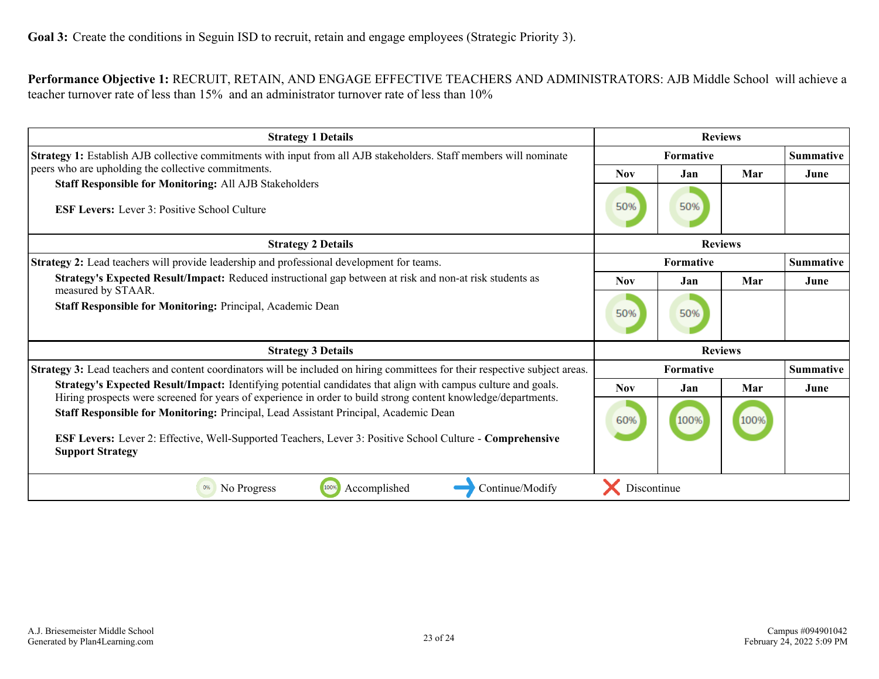#### <span id="page-22-0"></span>**Performance Objective 1:** RECRUIT, RETAIN, AND ENGAGE EFFECTIVE TEACHERS AND ADMINISTRATORS: AJB Middle School will achieve a teacher turnover rate of less than 15% and an administrator turnover rate of less than 10%

| <b>Strategy 1 Details</b>                                                                                                                                                                                                                                                                                                                             | <b>Reviews</b>   |                  |                  |                  |
|-------------------------------------------------------------------------------------------------------------------------------------------------------------------------------------------------------------------------------------------------------------------------------------------------------------------------------------------------------|------------------|------------------|------------------|------------------|
| Strategy 1: Establish AJB collective commitments with input from all AJB stakeholders. Staff members will nominate                                                                                                                                                                                                                                    | <b>Formative</b> |                  | <b>Summative</b> |                  |
| peers who are upholding the collective commitments.                                                                                                                                                                                                                                                                                                   | <b>Nov</b>       | Jan              | Mar              | June             |
| <b>Staff Responsible for Monitoring: All AJB Stakeholders</b><br><b>ESF Levers:</b> Lever 3: Positive School Culture                                                                                                                                                                                                                                  | 50%              | 50%              |                  |                  |
| <b>Strategy 2 Details</b>                                                                                                                                                                                                                                                                                                                             | <b>Reviews</b>   |                  |                  |                  |
| <b>Strategy 2:</b> Lead teachers will provide leadership and professional development for teams.                                                                                                                                                                                                                                                      |                  | <b>Formative</b> |                  | Summative        |
| Strategy's Expected Result/Impact: Reduced instructional gap between at risk and non-at risk students as<br>measured by STAAR.                                                                                                                                                                                                                        | <b>Nov</b>       | Jan              | Mar              | June             |
| Staff Responsible for Monitoring: Principal, Academic Dean                                                                                                                                                                                                                                                                                            |                  | 50%              |                  |                  |
| <b>Strategy 3 Details</b>                                                                                                                                                                                                                                                                                                                             | <b>Reviews</b>   |                  |                  |                  |
| Strategy 3: Lead teachers and content coordinators will be included on hiring committees for their respective subject areas.                                                                                                                                                                                                                          | Formative        |                  |                  | <b>Summative</b> |
| Strategy's Expected Result/Impact: Identifying potential candidates that align with campus culture and goals.                                                                                                                                                                                                                                         | <b>Nov</b>       | Jan              | Mar              | June             |
| Hiring prospects were screened for years of experience in order to build strong content knowledge/departments.<br>Staff Responsible for Monitoring: Principal, Lead Assistant Principal, Academic Dean<br><b>ESF Levers:</b> Lever 2: Effective, Well-Supported Teachers, Lever 3: Positive School Culture - Comprehensive<br><b>Support Strategy</b> | 60%              | 100%             | 100%             |                  |
| 100%<br>0%<br>No Progress<br>Continue/Modify<br>Accomplished                                                                                                                                                                                                                                                                                          | Discontinue      |                  |                  |                  |